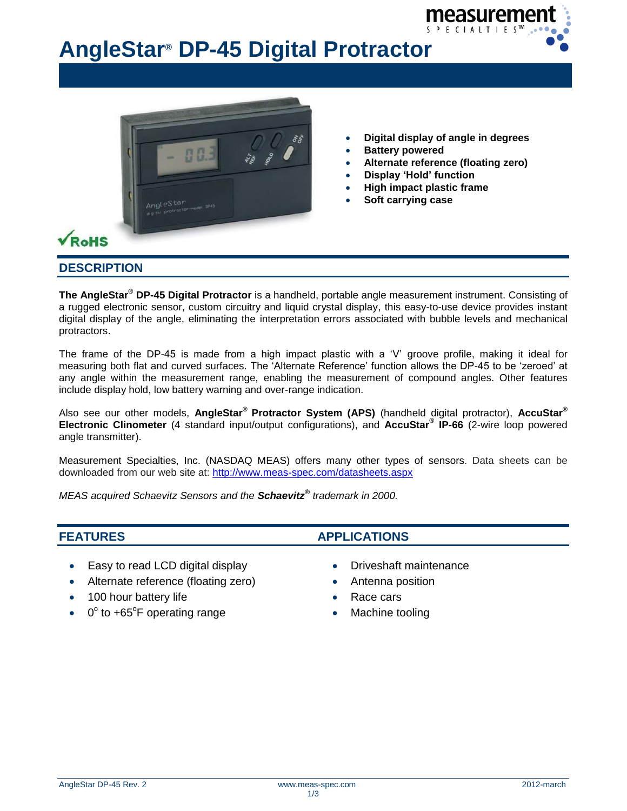

# **AngleStar® DP-45 Digital Protractor**



- **Digital display of angle in degrees**
- **Battery powered**
- **Alternate reference (floating zero)**
- **Display 'Hold' function**
- **High impact plastic frame**
- **Soft carrying case**

#### **DESCRIPTION**

**The AngleStar® DP-45 Digital Protractor** is a handheld, portable angle measurement instrument. Consisting of a rugged electronic sensor, custom circuitry and liquid crystal display, this easy-to-use device provides instant digital display of the angle, eliminating the interpretation errors associated with bubble levels and mechanical protractors.

The frame of the DP-45 is made from a high impact plastic with a 'V' groove profile, making it ideal for measuring both flat and curved surfaces. The 'Alternate Reference' function allows the DP-45 to be 'zeroed' at any angle within the measurement range, enabling the measurement of compound angles. Other features include display hold, low battery warning and over-range indication.

Also see our other models, **AngleStar® Protractor System (APS)** (handheld digital protractor), **AccuStar® Electronic Clinometer** (4 standard input/output configurations), and **AccuStar® IP-66** (2-wire loop powered angle transmitter).

Measurement Specialties, Inc. (NASDAQ MEAS) offers many other types of sensors. Data sheets can be downloaded from our web site at:<http://www.meas-spec.com/datasheets.aspx>

*MEAS acquired Schaevitz Sensors and the Schaevitz® trademark in 2000.*

- Easy to read LCD digital display **Digital Strategies Control CO** Driveshaft maintenance
- Alternate reference (floating zero) Antenna position
- 100 hour battery life
- $\bullet$  0 $^{\circ}$  to +65 $^{\circ}$ F operating range

### **FEATURES APPLICATIONS**

- 
- 
- Race cars
- Machine tooling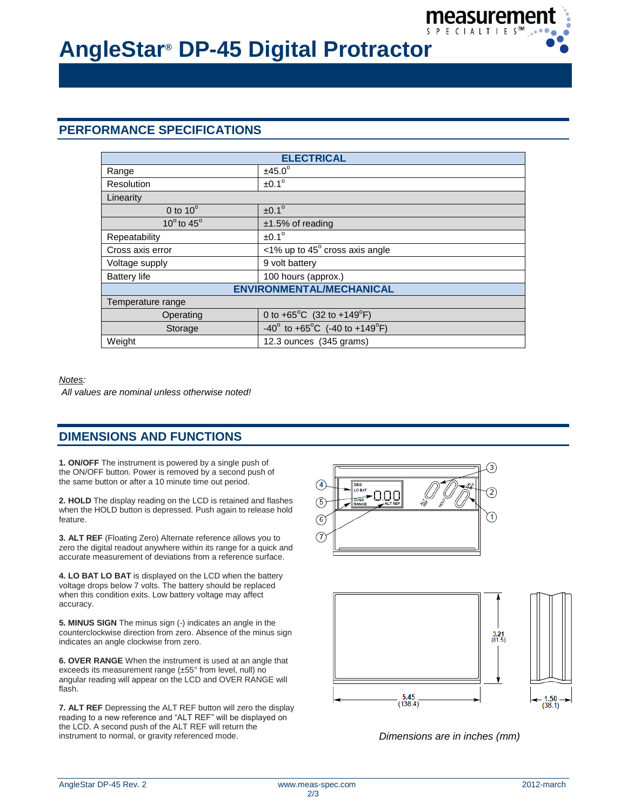

## **AngleStar® DP-45 Digital Protractor**

#### **PERFORMANCE SPECIFICATIONS**

| <b>ELECTRICAL</b>               |                                                            |  |
|---------------------------------|------------------------------------------------------------|--|
| Range                           | $±45.0^\circ$                                              |  |
| Resolution                      | $±0.1^\circ$                                               |  |
| Linearity                       |                                                            |  |
| 0 to $10^{\circ}$               | $±0.1^\circ$                                               |  |
| 10 $\degree$ to 45 $\degree$    | $±1.5\%$ of reading                                        |  |
| Repeatability                   | $\pm 0.1^\circ$                                            |  |
| Cross axis error                | $\langle$ 1% up to 45 $^{\circ}$ cross axis angle          |  |
| Voltage supply                  | 9 volt battery                                             |  |
| <b>Battery life</b>             | 100 hours (approx.)                                        |  |
| <b>ENVIRONMENTAL/MECHANICAL</b> |                                                            |  |
| Temperature range               |                                                            |  |
| Operating                       | 0 to +65 <sup>°</sup> C (32 to +149 <sup>°</sup> F)        |  |
| Storage                         | $-40^{\circ}$ to $+65^{\circ}$ C (-40 to $+149^{\circ}$ F) |  |
| Weight                          | 12.3 ounces (345 grams)                                    |  |

#### *Notes:*

*All values are nominal unless otherwise noted!*

### **DIMENSIONS AND FUNCTIONS**

**1. ON/OFF** The instrument is powered by a single push of the ON/OFF button. Power is removed by a second push of the same button or after a 10 minute time out period.

**2. HOLD** The display reading on the LCD is retained and flashes when the HOLD button is depressed. Push again to release hold feature.

**3. ALT REF** (Floating Zero) Alternate reference allows you to zero the digital readout anywhere within its range for a quick and accurate measurement of deviations from a reference surface.

**4. LO BAT LO BAT** is displayed on the LCD when the battery voltage drops below 7 volts. The battery should be replaced when this condition exits. Low battery voltage may affect accuracy.

**5. MINUS SIGN** The minus sign (-) indicates an angle in the counterclockwise direction from zero. Absence of the minus sign indicates an angle clockwise from zero.

**6. OVER RANGE** When the instrument is used at an angle that exceeds its measurement range (±55° from level, null) no angular reading will appear on the LCD and OVER RANGE will flash.

**7. ALT REF** Depressing the ALT REF button will zero the display reading to a new reference and "ALT REF" will be displayed on the LCD. A second push of the ALT REF will return the instrument to normal, or gravity referenced mode. *Dimensions are in inches (mm)*